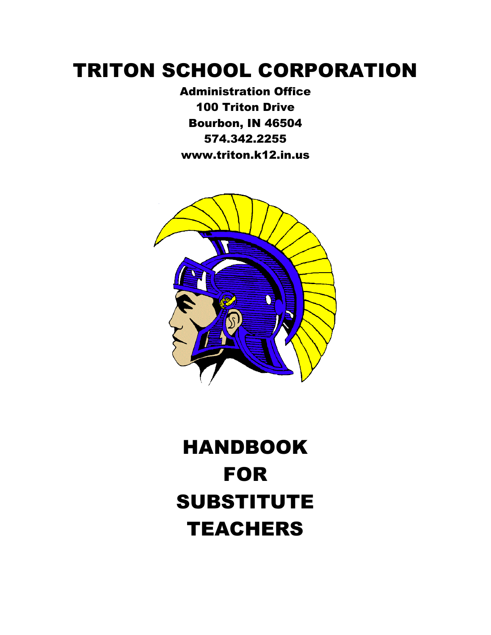## TRITON SCHOOL CORPORATION

Administration Office 100 Triton Drive Bourbon, IN 46504 574.342.2255 www.triton.k12.in.us



# HANDBOOK FOR SUBSTITUTE **TEACHERS**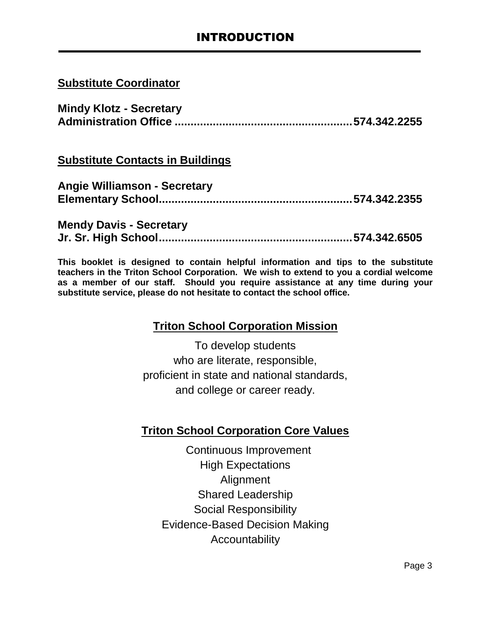#### **Substitute Coordinator**

| <b>Mindy Klotz - Secretary</b> |  |
|--------------------------------|--|
|                                |  |

#### **Substitute Contacts in Buildings**

| <b>Angie Williamson - Secretary</b> |  |
|-------------------------------------|--|
|                                     |  |

#### **Mendy Davis - Secretary Jr. Sr. High School.............................................................574.342.6505**

**This booklet is designed to contain helpful information and tips to the substitute teachers in the Triton School Corporation. We wish to extend to you a cordial welcome as a member of our staff. Should you require assistance at any time during your substitute service, please do not hesitate to contact the school office.**

#### **Triton School Corporation Mission**

To develop students who are literate, responsible, proficient in state and national standards, and college or career ready.

#### **Triton School Corporation Core Values**

 Continuous Improvement High Expectations **Alignment** Shared Leadership Social Responsibility Evidence-Based Decision Making Accountability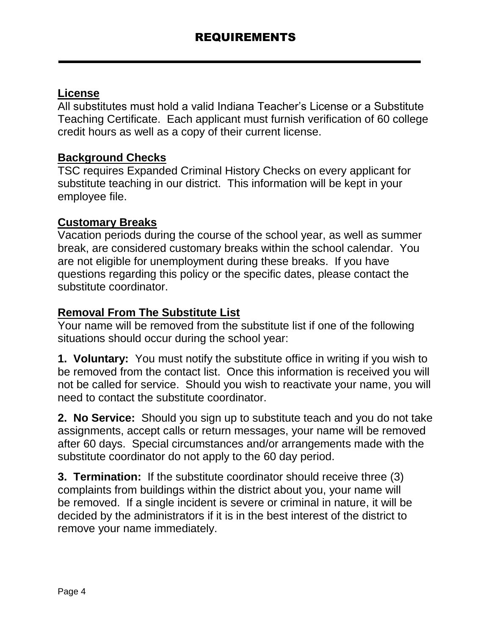#### **License**

All substitutes must hold a valid Indiana Teacher's License or a Substitute Teaching Certificate. Each applicant must furnish verification of 60 college credit hours as well as a copy of their current license.

#### **Background Checks**

TSC requires Expanded Criminal History Checks on every applicant for substitute teaching in our district. This information will be kept in your employee file.

#### **Customary Breaks**

Vacation periods during the course of the school year, as well as summer break, are considered customary breaks within the school calendar. You are not eligible for unemployment during these breaks. If you have questions regarding this policy or the specific dates, please contact the substitute coordinator.

#### **Removal From The Substitute List**

Your name will be removed from the substitute list if one of the following situations should occur during the school year:

**1. Voluntary:** You must notify the substitute office in writing if you wish to be removed from the contact list. Once this information is received you will not be called for service. Should you wish to reactivate your name, you will need to contact the substitute coordinator.

**2. No Service:** Should you sign up to substitute teach and you do not take assignments, accept calls or return messages, your name will be removed after 60 days. Special circumstances and/or arrangements made with the substitute coordinator do not apply to the 60 day period.

**3. Termination:** If the substitute coordinator should receive three (3) complaints from buildings within the district about you, your name will be removed. If a single incident is severe or criminal in nature, it will be decided by the administrators if it is in the best interest of the district to remove your name immediately.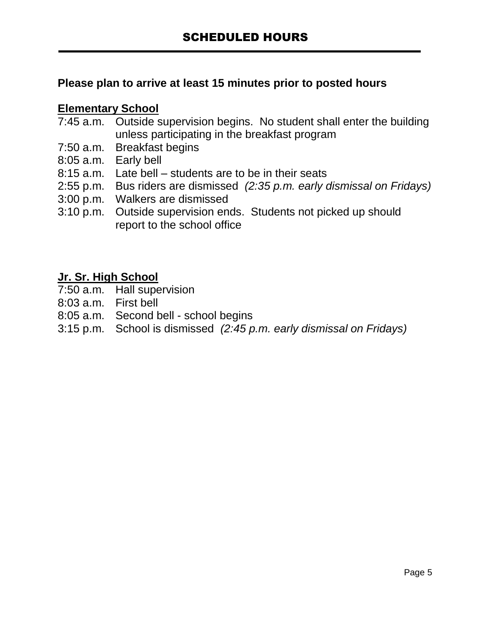### **Please plan to arrive at least 15 minutes prior to posted hours**

#### **Elementary School**

- 7:45 a.m. Outside supervision begins. No student shall enter the building unless participating in the breakfast program
- 7:50 a.m. Breakfast begins
- 8:05 a.m. Early bell
- 8:15 a.m. Late bell students are to be in their seats
- 2:55 p.m. Bus riders are dismissed *(2:35 p.m. early dismissal on Fridays)*
- 3:00 p.m. Walkers are dismissed
- 3:10 p.m. Outside supervision ends. Students not picked up should report to the school office

#### **Jr. Sr. High School**

- 7:50 a.m. Hall supervision
- 8:03 a.m. First bell
- 8:05 a.m. Second bell school begins
- 3:15 p.m. School is dismissed *(2:45 p.m. early dismissal on Fridays)*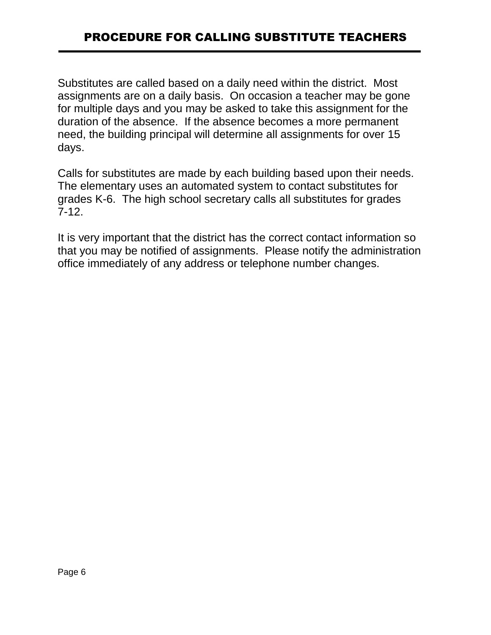## PROCEDURE FOR CALLING SUBSTITUTE TEACHERS

Substitutes are called based on a daily need within the district. Most assignments are on a daily basis. On occasion a teacher may be gone for multiple days and you may be asked to take this assignment for the duration of the absence. If the absence becomes a more permanent need, the building principal will determine all assignments for over 15 days.

Calls for substitutes are made by each building based upon their needs. The elementary uses an automated system to contact substitutes for grades K-6. The high school secretary calls all substitutes for grades 7-12.

It is very important that the district has the correct contact information so that you may be notified of assignments. Please notify the administration office immediately of any address or telephone number changes.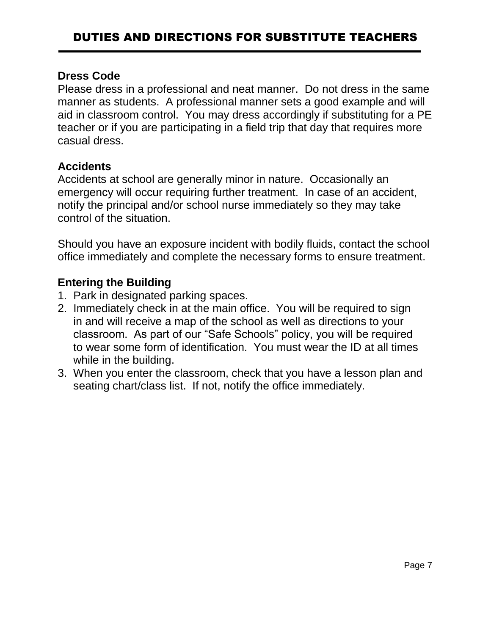#### **Dress Code**

Please dress in a professional and neat manner. Do not dress in the same manner as students. A professional manner sets a good example and will aid in classroom control. You may dress accordingly if substituting for a PE teacher or if you are participating in a field trip that day that requires more casual dress.

#### **Accidents**

Accidents at school are generally minor in nature. Occasionally an emergency will occur requiring further treatment. In case of an accident, notify the principal and/or school nurse immediately so they may take control of the situation.

Should you have an exposure incident with bodily fluids, contact the school office immediately and complete the necessary forms to ensure treatment.

### **Entering the Building**

- 1. Park in designated parking spaces.
- 2. Immediately check in at the main office. You will be required to sign in and will receive a map of the school as well as directions to your classroom. As part of our "Safe Schools" policy, you will be required to wear some form of identification. You must wear the ID at all times while in the building.
- 3. When you enter the classroom, check that you have a lesson plan and seating chart/class list. If not, notify the office immediately.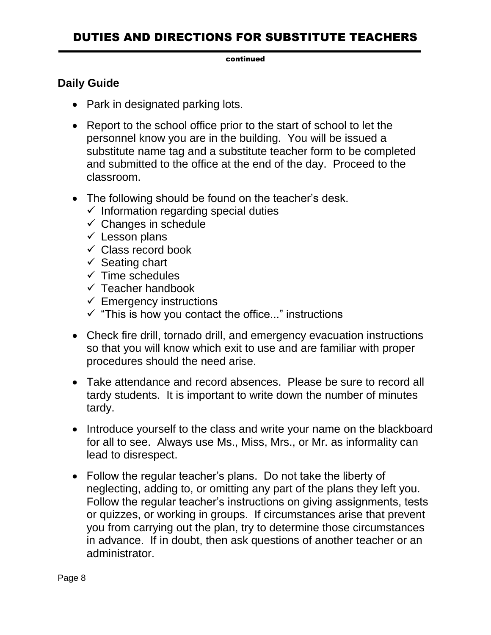## DUTIES AND DIRECTIONS FOR SUBSTITUTE TEACHERS

#### continued

#### **Daily Guide**

- Park in designated parking lots.
- Report to the school office prior to the start of school to let the personnel know you are in the building. You will be issued a substitute name tag and a substitute teacher form to be completed and submitted to the office at the end of the day. Proceed to the classroom.
- The following should be found on the teacher's desk.
	- $\checkmark$  Information regarding special duties
	- $\checkmark$  Changes in schedule
	- $\checkmark$  Lesson plans
	- $\checkmark$  Class record book
	- $\checkmark$  Seating chart
	- $\checkmark$  Time schedules
	- $\checkmark$  Teacher handbook
	- $\checkmark$  Emergency instructions
	- $\checkmark$  "This is how you contact the office..." instructions
- Check fire drill, tornado drill, and emergency evacuation instructions so that you will know which exit to use and are familiar with proper procedures should the need arise.
- Take attendance and record absences. Please be sure to record all tardy students. It is important to write down the number of minutes tardy.
- Introduce yourself to the class and write your name on the blackboard for all to see. Always use Ms., Miss, Mrs., or Mr. as informality can lead to disrespect.
- Follow the regular teacher's plans. Do not take the liberty of neglecting, adding to, or omitting any part of the plans they left you. Follow the regular teacher's instructions on giving assignments, tests or quizzes, or working in groups. If circumstances arise that prevent you from carrying out the plan, try to determine those circumstances in advance. If in doubt, then ask questions of another teacher or an administrator.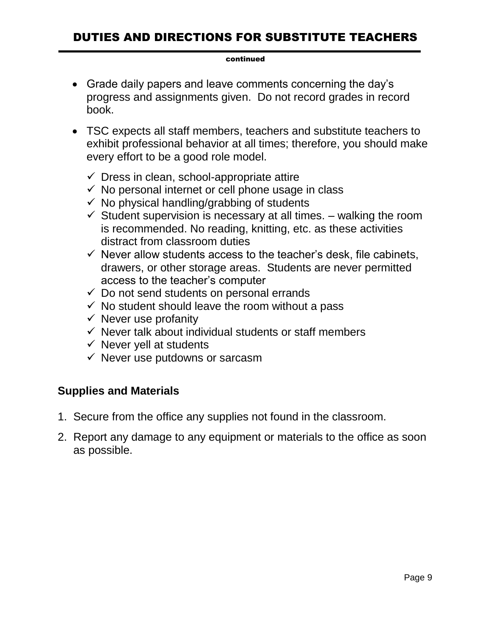## DUTIES AND DIRECTIONS FOR SUBSTITUTE TEACHERS

#### continued

- Grade daily papers and leave comments concerning the day's progress and assignments given. Do not record grades in record book.
- TSC expects all staff members, teachers and substitute teachers to exhibit professional behavior at all times; therefore, you should make every effort to be a good role model.
	- $\checkmark$  Dress in clean, school-appropriate attire
	- $\checkmark$  No personal internet or cell phone usage in class
	- $\checkmark$  No physical handling/grabbing of students
	- $\checkmark$  Student supervision is necessary at all times. walking the room is recommended. No reading, knitting, etc. as these activities distract from classroom duties
	- $\checkmark$  Never allow students access to the teacher's desk, file cabinets, drawers, or other storage areas. Students are never permitted access to the teacher's computer
	- $\checkmark$  Do not send students on personal errands
	- $\checkmark$  No student should leave the room without a pass
	- $\checkmark$  Never use profanity
	- $\checkmark$  Never talk about individual students or staff members
	- $\checkmark$  Never yell at students
	- $\checkmark$  Never use putdowns or sarcasm

#### **Supplies and Materials**

- 1. Secure from the office any supplies not found in the classroom.
- 2. Report any damage to any equipment or materials to the office as soon as possible.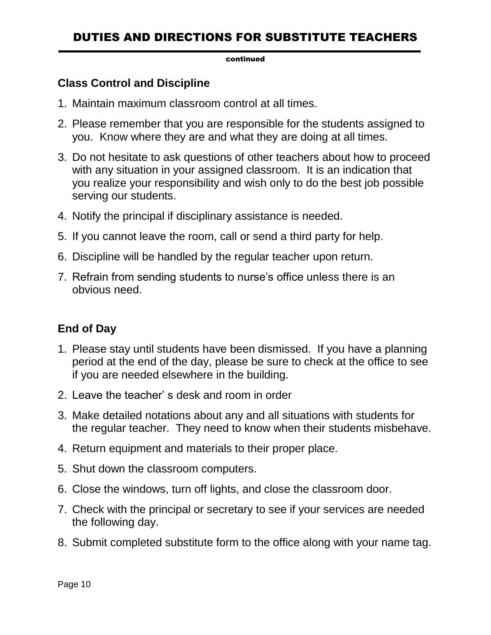## DUTIES AND DIRECTIONS FOR SUBSTITUTE TEACHERS

#### continued

#### **Class Control and Discipline**

- 1. Maintain maximum classroom control at all times.
- 2. Please remember that you are responsible for the students assigned to you. Know where they are and what they are doing at all times.
- 3. Do not hesitate to ask questions of other teachers about how to proceed with any situation in your assigned classroom. It is an indication that you realize your responsibility and wish only to do the best job possible serving our students.
- 4. Notify the principal if disciplinary assistance is needed.
- 5. If you cannot leave the room, call or send a third party for help.
- 6. Discipline will be handled by the regular teacher upon return.
- 7. Refrain from sending students to nurse's office unless there is an obvious need.

#### **End of Day**

- 1. Please stay until students have been dismissed. If you have a planning period at the end of the day, please be sure to check at the office to see if you are needed elsewhere in the building.
- 2. Leave the teacher' s desk and room in order
- 3. Make detailed notations about any and all situations with students for the regular teacher. They need to know when their students misbehave.
- 4. Return equipment and materials to their proper place.
- 5. Shut down the classroom computers.
- 6. Close the windows, turn off lights, and close the classroom door.
- 7. Check with the principal or secretary to see if your services are needed the following day.
- 8. Submit completed substitute form to the office along with your name tag.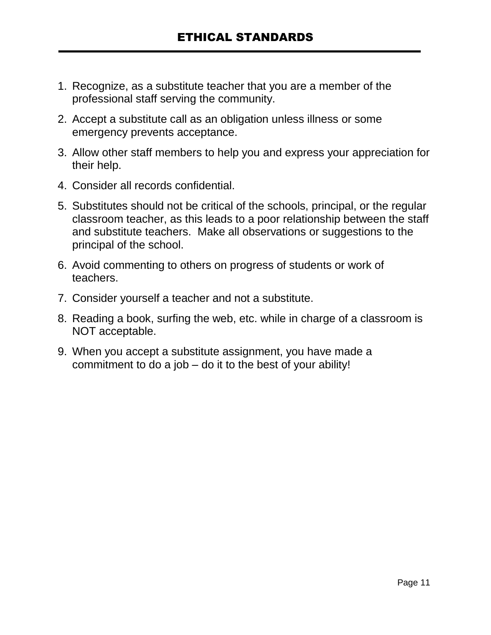- 1. Recognize, as a substitute teacher that you are a member of the professional staff serving the community.
- 2. Accept a substitute call as an obligation unless illness or some emergency prevents acceptance.
- 3. Allow other staff members to help you and express your appreciation for their help.
- 4. Consider all records confidential.
- 5. Substitutes should not be critical of the schools, principal, or the regular classroom teacher, as this leads to a poor relationship between the staff and substitute teachers. Make all observations or suggestions to the principal of the school.
- 6. Avoid commenting to others on progress of students or work of teachers.
- 7. Consider yourself a teacher and not a substitute.
- 8. Reading a book, surfing the web, etc. while in charge of a classroom is NOT acceptable.
- 9. When you accept a substitute assignment, you have made a commitment to do a job – do it to the best of your ability!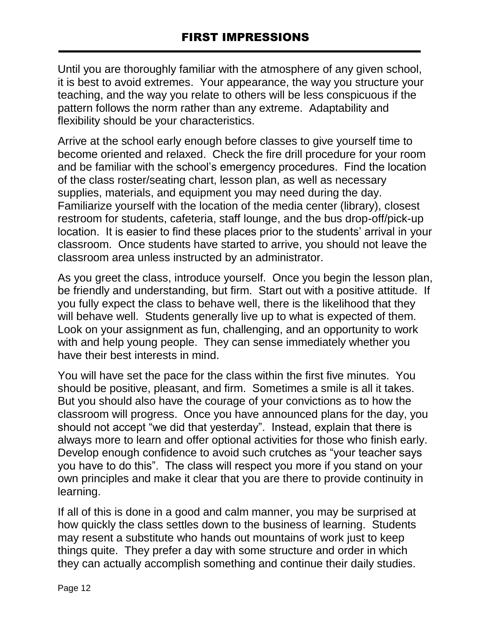Until you are thoroughly familiar with the atmosphere of any given school, it is best to avoid extremes. Your appearance, the way you structure your teaching, and the way you relate to others will be less conspicuous if the pattern follows the norm rather than any extreme. Adaptability and flexibility should be your characteristics.

Arrive at the school early enough before classes to give yourself time to become oriented and relaxed. Check the fire drill procedure for your room and be familiar with the school's emergency procedures. Find the location of the class roster/seating chart, lesson plan, as well as necessary supplies, materials, and equipment you may need during the day. Familiarize yourself with the location of the media center (library), closest restroom for students, cafeteria, staff lounge, and the bus drop-off/pick-up location. It is easier to find these places prior to the students' arrival in your classroom. Once students have started to arrive, you should not leave the classroom area unless instructed by an administrator.

As you greet the class, introduce yourself. Once you begin the lesson plan, be friendly and understanding, but firm. Start out with a positive attitude. If you fully expect the class to behave well, there is the likelihood that they will behave well. Students generally live up to what is expected of them. Look on your assignment as fun, challenging, and an opportunity to work with and help young people. They can sense immediately whether you have their best interests in mind.

You will have set the pace for the class within the first five minutes. You should be positive, pleasant, and firm. Sometimes a smile is all it takes. But you should also have the courage of your convictions as to how the classroom will progress. Once you have announced plans for the day, you should not accept "we did that yesterday". Instead, explain that there is always more to learn and offer optional activities for those who finish early. Develop enough confidence to avoid such crutches as "your teacher says you have to do this". The class will respect you more if you stand on your own principles and make it clear that you are there to provide continuity in learning.

If all of this is done in a good and calm manner, you may be surprised at how quickly the class settles down to the business of learning. Students may resent a substitute who hands out mountains of work just to keep things quite. They prefer a day with some structure and order in which they can actually accomplish something and continue their daily studies.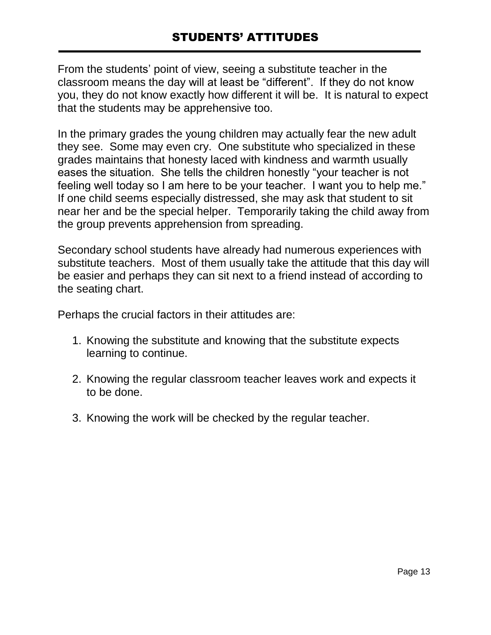From the students' point of view, seeing a substitute teacher in the classroom means the day will at least be "different". If they do not know you, they do not know exactly how different it will be. It is natural to expect that the students may be apprehensive too.

In the primary grades the young children may actually fear the new adult they see. Some may even cry. One substitute who specialized in these grades maintains that honesty laced with kindness and warmth usually eases the situation. She tells the children honestly "your teacher is not feeling well today so I am here to be your teacher. I want you to help me." If one child seems especially distressed, she may ask that student to sit near her and be the special helper. Temporarily taking the child away from the group prevents apprehension from spreading.

Secondary school students have already had numerous experiences with substitute teachers. Most of them usually take the attitude that this day will be easier and perhaps they can sit next to a friend instead of according to the seating chart.

Perhaps the crucial factors in their attitudes are:

- 1. Knowing the substitute and knowing that the substitute expects learning to continue.
- 2. Knowing the regular classroom teacher leaves work and expects it to be done.
- 3. Knowing the work will be checked by the regular teacher.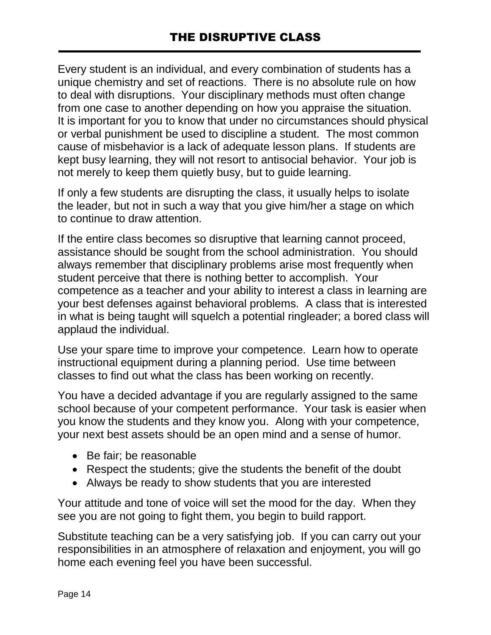Every student is an individual, and every combination of students has a unique chemistry and set of reactions. There is no absolute rule on how to deal with disruptions. Your disciplinary methods must often change from one case to another depending on how you appraise the situation. It is important for you to know that under no circumstances should physical or verbal punishment be used to discipline a student. The most common cause of misbehavior is a lack of adequate lesson plans. If students are kept busy learning, they will not resort to antisocial behavior. Your job is not merely to keep them quietly busy, but to guide learning.

If only a few students are disrupting the class, it usually helps to isolate the leader, but not in such a way that you give him/her a stage on which to continue to draw attention.

If the entire class becomes so disruptive that learning cannot proceed, assistance should be sought from the school administration. You should always remember that disciplinary problems arise most frequently when student perceive that there is nothing better to accomplish. Your competence as a teacher and your ability to interest a class in learning are your best defenses against behavioral problems. A class that is interested in what is being taught will squelch a potential ringleader; a bored class will applaud the individual.

Use your spare time to improve your competence. Learn how to operate instructional equipment during a planning period. Use time between classes to find out what the class has been working on recently.

You have a decided advantage if you are regularly assigned to the same school because of your competent performance. Your task is easier when you know the students and they know you. Along with your competence, your next best assets should be an open mind and a sense of humor.

- Be fair; be reasonable
- Respect the students; give the students the benefit of the doubt
- Always be ready to show students that you are interested

Your attitude and tone of voice will set the mood for the day. When they see you are not going to fight them, you begin to build rapport.

Substitute teaching can be a very satisfying job. If you can carry out your responsibilities in an atmosphere of relaxation and enjoyment, you will go home each evening feel you have been successful.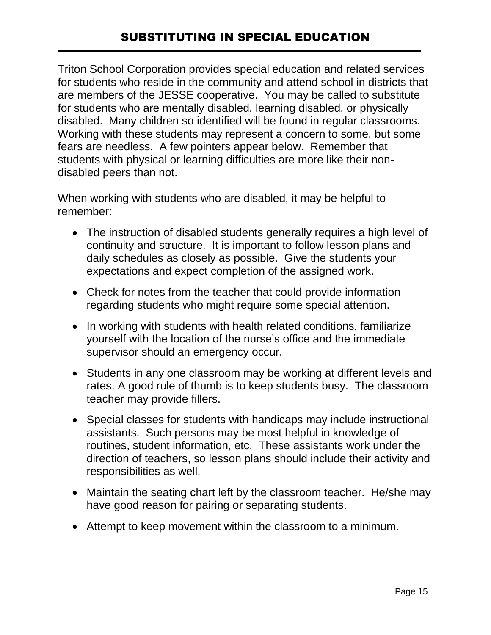## SUBSTITUTING IN SPECIAL EDUCATION

Triton School Corporation provides special education and related services for students who reside in the community and attend school in districts that are members of the JESSE cooperative. You may be called to substitute for students who are mentally disabled, learning disabled, or physically disabled. Many children so identified will be found in regular classrooms. Working with these students may represent a concern to some, but some fears are needless. A few pointers appear below. Remember that students with physical or learning difficulties are more like their nondisabled peers than not.

When working with students who are disabled, it may be helpful to remember:

- The instruction of disabled students generally requires a high level of continuity and structure. It is important to follow lesson plans and daily schedules as closely as possible. Give the students your expectations and expect completion of the assigned work.
- Check for notes from the teacher that could provide information regarding students who might require some special attention.
- In working with students with health related conditions, familiarize yourself with the location of the nurse's office and the immediate supervisor should an emergency occur.
- Students in any one classroom may be working at different levels and rates. A good rule of thumb is to keep students busy. The classroom teacher may provide fillers.
- Special classes for students with handicaps may include instructional assistants. Such persons may be most helpful in knowledge of routines, student information, etc. These assistants work under the direction of teachers, so lesson plans should include their activity and responsibilities as well.
- Maintain the seating chart left by the classroom teacher. He/she may have good reason for pairing or separating students.
- Attempt to keep movement within the classroom to a minimum.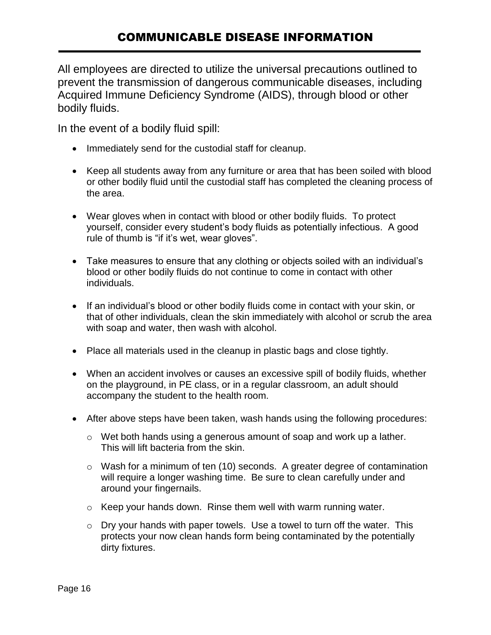All employees are directed to utilize the universal precautions outlined to prevent the transmission of dangerous communicable diseases, including Acquired Immune Deficiency Syndrome (AIDS), through blood or other bodily fluids.

In the event of a bodily fluid spill:

- Immediately send for the custodial staff for cleanup.
- Keep all students away from any furniture or area that has been soiled with blood or other bodily fluid until the custodial staff has completed the cleaning process of the area.
- Wear gloves when in contact with blood or other bodily fluids. To protect yourself, consider every student's body fluids as potentially infectious. A good rule of thumb is "if it's wet, wear gloves".
- Take measures to ensure that any clothing or objects soiled with an individual's blood or other bodily fluids do not continue to come in contact with other individuals.
- If an individual's blood or other bodily fluids come in contact with your skin, or that of other individuals, clean the skin immediately with alcohol or scrub the area with soap and water, then wash with alcohol.
- Place all materials used in the cleanup in plastic bags and close tightly.
- When an accident involves or causes an excessive spill of bodily fluids, whether on the playground, in PE class, or in a regular classroom, an adult should accompany the student to the health room.
- After above steps have been taken, wash hands using the following procedures:
	- o Wet both hands using a generous amount of soap and work up a lather. This will lift bacteria from the skin.
	- o Wash for a minimum of ten (10) seconds. A greater degree of contamination will require a longer washing time. Be sure to clean carefully under and around your fingernails.
	- o Keep your hands down. Rinse them well with warm running water.
	- o Dry your hands with paper towels. Use a towel to turn off the water. This protects your now clean hands form being contaminated by the potentially dirty fixtures.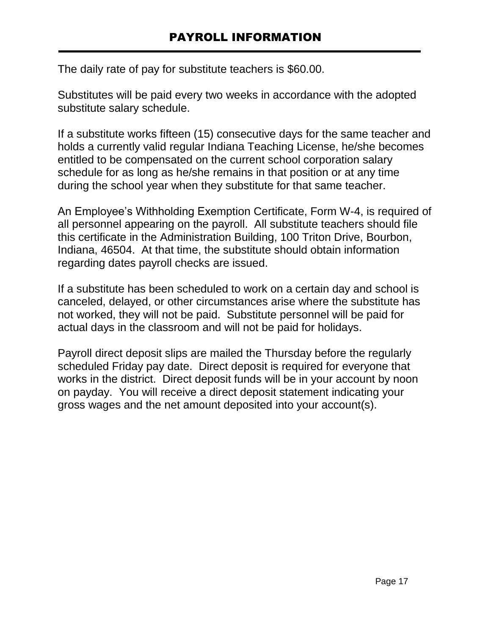The daily rate of pay for substitute teachers is \$60.00.

Substitutes will be paid every two weeks in accordance with the adopted substitute salary schedule.

If a substitute works fifteen (15) consecutive days for the same teacher and holds a currently valid regular Indiana Teaching License, he/she becomes entitled to be compensated on the current school corporation salary schedule for as long as he/she remains in that position or at any time during the school year when they substitute for that same teacher.

An Employee's Withholding Exemption Certificate, Form W-4, is required of all personnel appearing on the payroll. All substitute teachers should file this certificate in the Administration Building, 100 Triton Drive, Bourbon, Indiana, 46504. At that time, the substitute should obtain information regarding dates payroll checks are issued.

If a substitute has been scheduled to work on a certain day and school is canceled, delayed, or other circumstances arise where the substitute has not worked, they will not be paid. Substitute personnel will be paid for actual days in the classroom and will not be paid for holidays.

Payroll direct deposit slips are mailed the Thursday before the regularly scheduled Friday pay date. Direct deposit is required for everyone that works in the district. Direct deposit funds will be in your account by noon on payday. You will receive a direct deposit statement indicating your gross wages and the net amount deposited into your account(s).